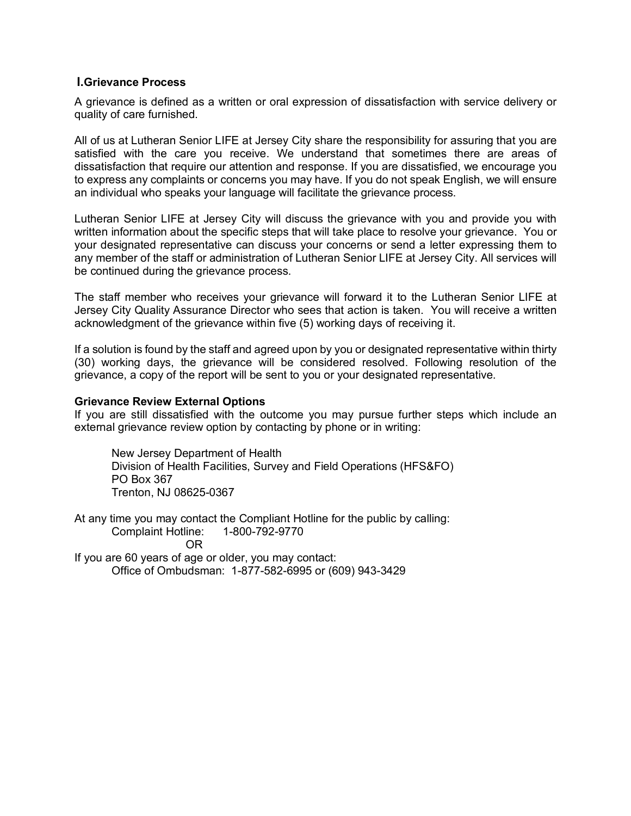### **I.Grievance Process**

A grievance is defined as a written or oral expression of dissatisfaction with service delivery or quality of care furnished.

All of us at Lutheran Senior LIFE at Jersey City share the responsibility for assuring that you are satisfied with the care you receive. We understand that sometimes there are areas of dissatisfaction that require our attention and response. If you are dissatisfied, we encourage you to express any complaints or concerns you may have. If you do not speak English, we will ensure an individual who speaks your language will facilitate the grievance process.

Lutheran Senior LIFE at Jersey City will discuss the grievance with you and provide you with written information about the specific steps that will take place to resolve your grievance. You or your designated representative can discuss your concerns or send a letter expressing them to any member of the staff or administration of Lutheran Senior LIFE at Jersey City. All services will be continued during the grievance process.

The staff member who receives your grievance will forward it to the Lutheran Senior LIFE at Jersey City Quality Assurance Director who sees that action is taken. You will receive a written acknowledgment of the grievance within five (5) working days of receiving it.

If a solution is found by the staff and agreed upon by you or designated representative within thirty (30) working days, the grievance will be considered resolved. Following resolution of the grievance, a copy of the report will be sent to you or your designated representative.

### **Grievance Review External Options**

If you are still dissatisfied with the outcome you may pursue further steps which include an external grievance review option by contacting by phone or in writing:

New Jersey Department of Health Division of Health Facilities, Survey and Field Operations (HFS&FO) PO Box 367 Trenton, NJ 08625-0367

At any time you may contact the Compliant Hotline for the public by calling: Complaint Hotline: 1-800-792-9770 OR

If you are 60 years of age or older, you may contact: Office of Ombudsman: 1-877-582-6995 or (609) 943-3429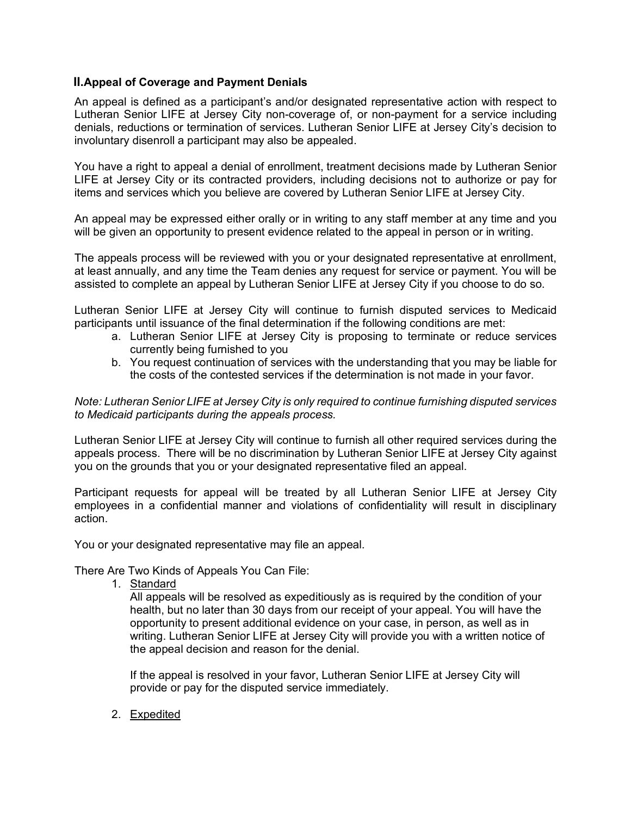# **II.Appeal of Coverage and Payment Denials**

An appeal is defined as a participant's and/or designated representative action with respect to Lutheran Senior LIFE at Jersey City non-coverage of, or non-payment for a service including denials, reductions or termination of services. Lutheran Senior LIFE at Jersey City's decision to involuntary disenroll a participant may also be appealed.

You have a right to appeal a denial of enrollment, treatment decisions made by Lutheran Senior LIFE at Jersey City or its contracted providers, including decisions not to authorize or pay for items and services which you believe are covered by Lutheran Senior LIFE at Jersey City.

An appeal may be expressed either orally or in writing to any staff member at any time and you will be given an opportunity to present evidence related to the appeal in person or in writing.

The appeals process will be reviewed with you or your designated representative at enrollment, at least annually, and any time the Team denies any request for service or payment. You will be assisted to complete an appeal by Lutheran Senior LIFE at Jersey City if you choose to do so.

Lutheran Senior LIFE at Jersey City will continue to furnish disputed services to Medicaid participants until issuance of the final determination if the following conditions are met:

- a. Lutheran Senior LIFE at Jersey City is proposing to terminate or reduce services currently being furnished to you
- b. You request continuation of services with the understanding that you may be liable for the costs of the contested services if the determination is not made in your favor.

*Note: Lutheran Senior LIFE at Jersey City is only required to continue furnishing disputed services to Medicaid participants during the appeals process.*

Lutheran Senior LIFE at Jersey City will continue to furnish all other required services during the appeals process. There will be no discrimination by Lutheran Senior LIFE at Jersey City against you on the grounds that you or your designated representative filed an appeal.

Participant requests for appeal will be treated by all Lutheran Senior LIFE at Jersey City employees in a confidential manner and violations of confidentiality will result in disciplinary action.

You or your designated representative may file an appeal.

There Are Two Kinds of Appeals You Can File:

1. Standard

All appeals will be resolved as expeditiously as is required by the condition of your health, but no later than 30 days from our receipt of your appeal. You will have the opportunity to present additional evidence on your case, in person, as well as in writing. Lutheran Senior LIFE at Jersey City will provide you with a written notice of the appeal decision and reason for the denial.

If the appeal is resolved in your favor, Lutheran Senior LIFE at Jersey City will provide or pay for the disputed service immediately.

2. Expedited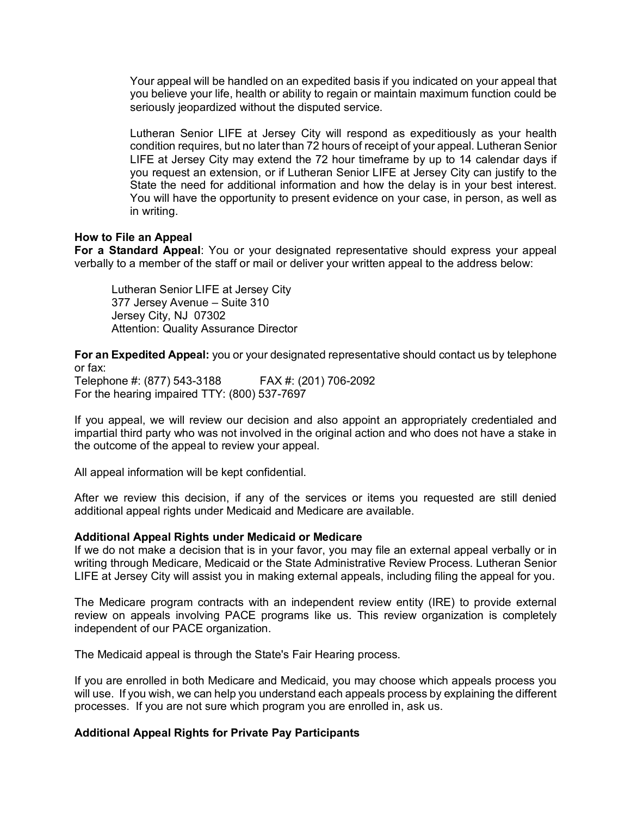Your appeal will be handled on an expedited basis if you indicated on your appeal that you believe your life, health or ability to regain or maintain maximum function could be seriously jeopardized without the disputed service.

Lutheran Senior LIFE at Jersey City will respond as expeditiously as your health condition requires, but no later than 72 hours of receipt of your appeal. Lutheran Senior LIFE at Jersey City may extend the 72 hour timeframe by up to 14 calendar days if you request an extension, or if Lutheran Senior LIFE at Jersey City can justify to the State the need for additional information and how the delay is in your best interest. You will have the opportunity to present evidence on your case, in person, as well as in writing.

## **How to File an Appeal**

**For a Standard Appeal**: You or your designated representative should express your appeal verbally to a member of the staff or mail or deliver your written appeal to the address below:

Lutheran Senior LIFE at Jersey City 377 Jersey Avenue – Suite 310 Jersey City, NJ 07302 Attention: Quality Assurance Director

**For an Expedited Appeal:** you or your designated representative should contact us by telephone or fax:

Telephone #: (877) 543-3188 FAX #: (201) 706-2092 For the hearing impaired TTY: (800) 537-7697

If you appeal, we will review our decision and also appoint an appropriately credentialed and impartial third party who was not involved in the original action and who does not have a stake in the outcome of the appeal to review your appeal.

All appeal information will be kept confidential.

After we review this decision, if any of the services or items you requested are still denied additional appeal rights under Medicaid and Medicare are available.

### **Additional Appeal Rights under Medicaid or Medicare**

If we do not make a decision that is in your favor, you may file an external appeal verbally or in writing through Medicare, Medicaid or the State Administrative Review Process. Lutheran Senior LIFE at Jersey City will assist you in making external appeals, including filing the appeal for you.

The Medicare program contracts with an independent review entity (IRE) to provide external review on appeals involving PACE programs like us. This review organization is completely independent of our PACE organization.

The Medicaid appeal is through the State's Fair Hearing process.

If you are enrolled in both Medicare and Medicaid, you may choose which appeals process you will use. If you wish, we can help you understand each appeals process by explaining the different processes. If you are not sure which program you are enrolled in, ask us.

### **Additional Appeal Rights for Private Pay Participants**